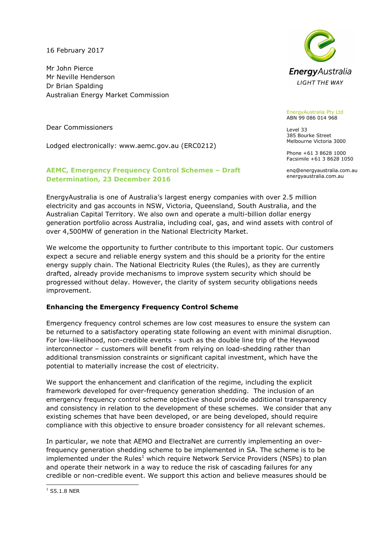16 February 2017

Mr John Pierce Mr Neville Henderson Dr Brian Spalding Australian Energy Market Commission

Dear Commissioners

Lodged electronically: www.aemc.gov.au (ERC0212)

## AEMC, Emergency Frequency Control Schemes – Draft Determination, 23 December 2016



EnergyAustralia Pty Ltd ABN 99 086 014 968

Level 33 385 Bourke Street Melbourne Victoria 3000

Phone +61 3 8628 1000 Facsimile +61 3 8628 1050

enq@energyaustralia.com.au energyaustralia.com.au

EnergyAustralia is one of Australia's largest energy companies with over 2.5 million electricity and gas accounts in NSW, Victoria, Queensland, South Australia, and the Australian Capital Territory. We also own and operate a multi-billion dollar energy generation portfolio across Australia, including coal, gas, and wind assets with control of over 4,500MW of generation in the National Electricity Market.

We welcome the opportunity to further contribute to this important topic. Our customers expect a secure and reliable energy system and this should be a priority for the entire energy supply chain. The National Electricity Rules (the Rules), as they are currently drafted, already provide mechanisms to improve system security which should be progressed without delay. However, the clarity of system security obligations needs improvement.

## Enhancing the Emergency Frequency Control Scheme

Emergency frequency control schemes are low cost measures to ensure the system can be returned to a satisfactory operating state following an event with minimal disruption. For low-likelihood, non-credible events - such as the double line trip of the Heywood interconnector – customers will benefit from relying on load-shedding rather than additional transmission constraints or significant capital investment, which have the potential to materially increase the cost of electricity.

We support the enhancement and clarification of the regime, including the explicit framework developed for over-frequency generation shedding. The inclusion of an emergency frequency control scheme objective should provide additional transparency and consistency in relation to the development of these schemes. We consider that any existing schemes that have been developed, or are being developed, should require compliance with this objective to ensure broader consistency for all relevant schemes.

In particular, we note that AEMO and ElectraNet are currently implementing an overfrequency generation shedding scheme to be implemented in SA. The scheme is to be implemented under the Rules<sup>1</sup> which require Network Service Providers (NSPs) to plan and operate their network in a way to reduce the risk of cascading failures for any credible or non-credible event. We support this action and believe measures should be

j  $^1$  S5.1.8 NER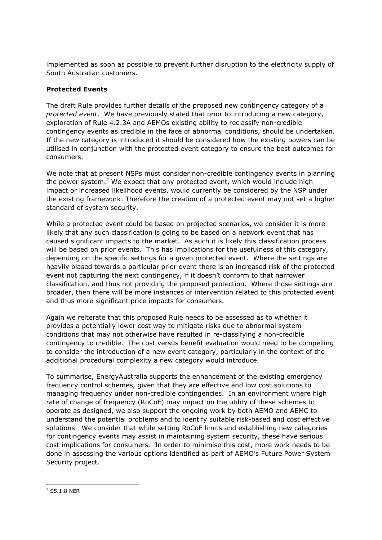implemented as soon as possible to prevent further disruption to the electricity supply of South Australian customers.

## Protected Events

The draft Rule provides further details of the proposed new contingency category of a protected event. We have previously stated that prior to introducing a new category, exploration of Rule 4.2.3A and AEMOs existing ability to reclassify non-credible contingency events as credible in the face of abnormal conditions, should be undertaken. If the new category is introduced it should be considered how the existing powers can be utilised in conjunction with the protected event category to ensure the best outcomes for consumers.

We note that at present NSPs must consider non-credible contingency events in planning the power system.<sup>2</sup> We expect that any protected event, which would include high impact or increased likelihood events, would currently be considered by the NSP under the existing framework. Therefore the creation of a protected event may not set a higher standard of system security.

While a protected event could be based on projected scenarios, we consider it is more likely that any such classification is going to be based on a network event that has caused significant impacts to the market. As such it is likely this classification process will be based on prior events. This has implications for the usefulness of this category, depending on the specific settings for a given protected event. Where the settings are heavily biased towards a particular prior event there is an increased risk of the protected event not capturing the next contingency, if it doesn't conform to that narrower classification, and thus not providing the proposed protection. Where those settings are broader, then there will be more instances of intervention related to this protected event and thus more significant price impacts for consumers.

Again we reiterate that this proposed Rule needs to be assessed as to whether it provides a potentially lower cost way to mitigate risks due to abnormal system conditions that may not otherwise have resulted in re-classifying a non-credible contingency to credible. The cost versus benefit evaluation would need to be compelling to consider the introduction of a new event category, particularly in the context of the additional procedural complexity a new category would introduce.

To summarise, EnergyAustralia supports the enhancement of the existing emergency frequency control schemes, given that they are effective and low cost solutions to managing frequency under non-credible contingencies. In an environment where high rate of change of frequency (RoCoF) may impact on the utility of these schemes to operate as designed, we also support the ongoing work by both AEMO and AEMC to understand the potential problems and to identify suitable risk-based and cost effective solutions. We consider that while setting RoCoF limits and establishing new categories for contingency events may assist in maintaining system security, these have serious cost implications for consumers. In order to minimise this cost, more work needs to be done in assessing the various options identified as part of AEMO's Future Power System Security project.

 2 S5.1.8 NER